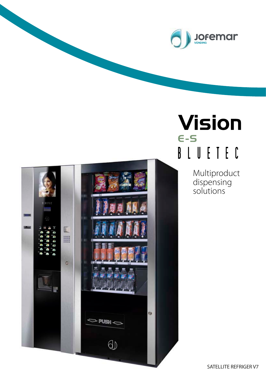



# **Vision**  $E-S$ BLUETEC

Multiproduct dispensing solutions